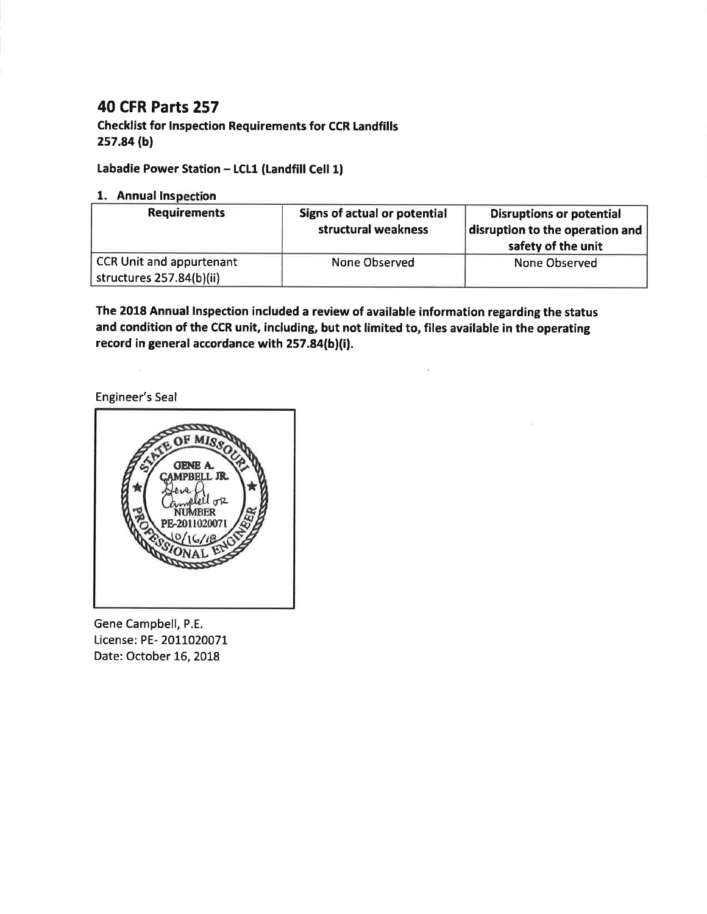# **40 CFR Parts 257**

**Checklist for Inspection Requirements for CCR Landfills** 257.84 (b)

# Labadie Power Station - LCL1 (Landfill Cell 1)

## 1. Annual Inspection

| <b>Requirements</b>                                         | Signs of actual or potential<br>structural weakness | <b>Disruptions or potential</b><br>disruption to the operation and<br>safety of the unit |
|-------------------------------------------------------------|-----------------------------------------------------|------------------------------------------------------------------------------------------|
| <b>CCR Unit and appurtenant</b><br>structures 257.84(b)(ii) | None Observed                                       | None Observed                                                                            |

The 2018 Annual Inspection included a review of available information regarding the status and condition of the CCR unit, including, but not limited to, files available in the operating record in general accordance with 257.84(b)(i).

Engineer's Seal



Gene Campbell, P.E. License: PE- 2011020071 Date: October 16, 2018